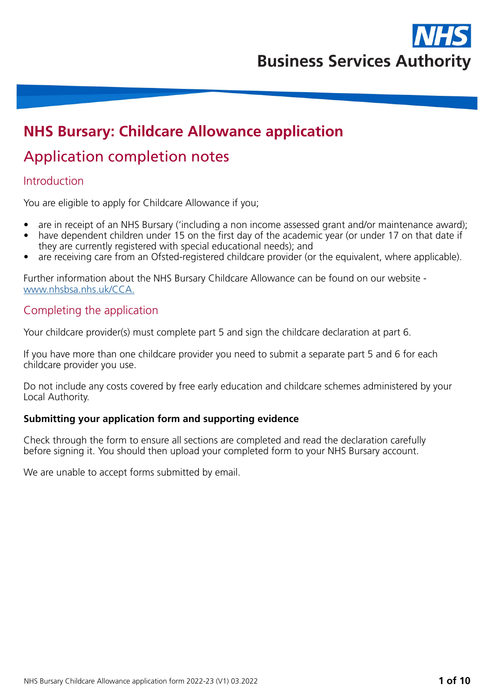

# **NHS Bursary: Childcare Allowance application**

# Application completion notes

### Introduction

You are eligible to apply for Childcare Allowance if you;

- are in receipt of an NHS Bursary ('including a non income assessed grant and/or maintenance award);
- have dependent children under 15 on the first day of the academic year (or under 17 on that date if they are currently registered with special educational needs); and
- are receiving care from an Ofsted-registered childcare provider (or the equivalent, where applicable).

Further information about the NHS Bursary Childcare Allowance can be found on our website [www.nhsbsa.nhs.uk/CCA.](http://www.nhsbsa.nhs.uk/CCA)

### Completing the application

Your childcare provider(s) must complete part 5 and sign the childcare declaration at part 6.

If you have more than one childcare provider you need to submit a separate part 5 and 6 for each childcare provider you use.

Do not include any costs covered by free early education and childcare schemes administered by your Local Authority.

### **Submitting your application form and supporting evidence**

Check through the form to ensure all sections are completed and read the declaration carefully before signing it. You should then upload your completed form to your NHS Bursary account.

We are unable to accept forms submitted by email.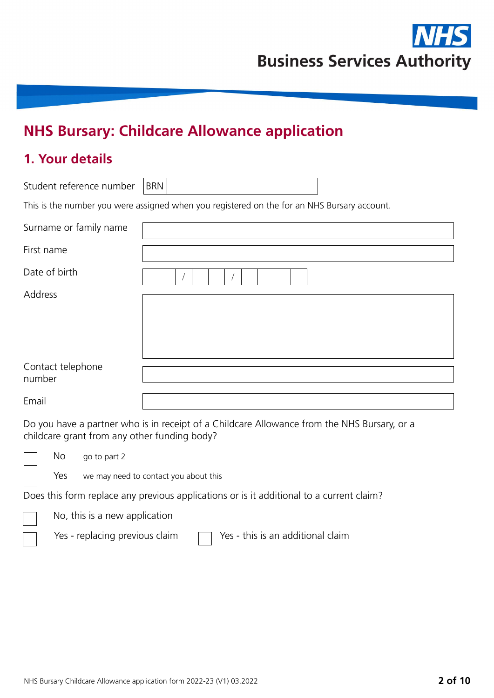

# **NHS Bursary: Childcare Allowance application**

### **1. Your details**

Student reference number | BRN

This is the number you were assigned when you registered on the for an NHS Bursary account.

| Surname or family name      |  |
|-----------------------------|--|
| First name                  |  |
| Date of birth               |  |
| Address                     |  |
| Contact telephone<br>number |  |
| Email                       |  |

Do you have a partner who is in receipt of a Childcare Allowance from the NHS Bursary, or a childcare grant from any other funding body?



No go to part 2

Yes we may need to contact you about this

Does this form replace any previous applications or is it additional to a current claim?

No, this is a new application

Yes - replacing previous claim  $\Box$  Yes - this is an additional claim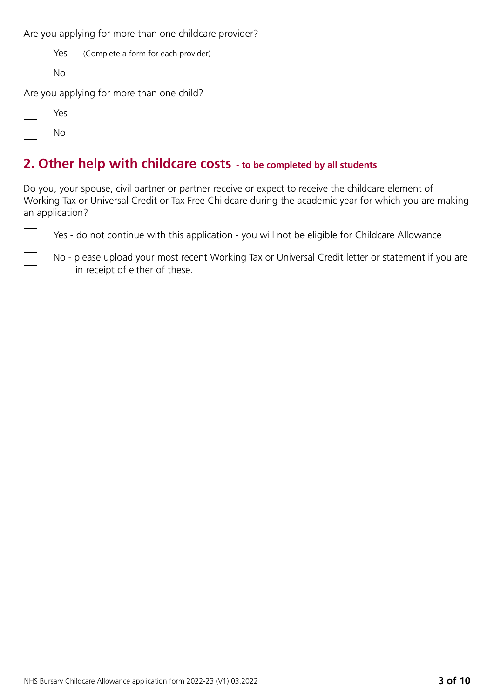Are you applying for more than one childcare provider?

|                   | $\vert$ $\vert$ Yes (Complete a form for each provider) |
|-------------------|---------------------------------------------------------|
| $\vert \vert$ No  |                                                         |
|                   | Are you applying for more than one child?               |
| $\vert \vert$ Yes |                                                         |

No

### **2. Other help with childcare costs - to be completed by all students**

Do you, your spouse, civil partner or partner receive or expect to receive the childcare element of Working Tax or Universal Credit or Tax Free Childcare during the academic year for which you are making an application?

Yes - do not continue with this application - you will not be eligible for Childcare Allowance

No - please upload your most recent Working Tax or Universal Credit letter or statement if you are in receipt of either of these.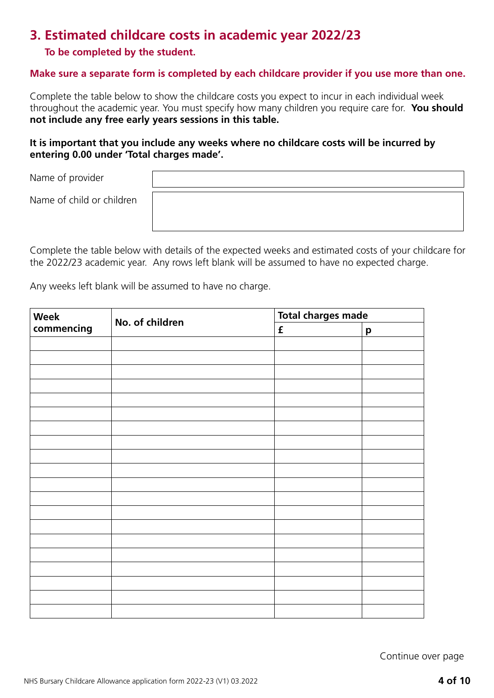### **3. Estimated childcare costs in academic year 2022/23**

### **To be completed by the student.**

#### **Make sure a separate form is completed by each childcare provider if you use more than one.**

Complete the table below to show the childcare costs you expect to incur in each individual week throughout the academic year. You must specify how many children you require care for. **You should not include any free early years sessions in this table.**

#### **It is important that you include any weeks where no childcare costs will be incurred by entering 0.00 under 'Total charges made'.**

Name of provider

Name of child or children

Complete the table below with details of the expected weeks and estimated costs of your childcare for the 2022/23 academic year. Any rows left blank will be assumed to have no expected charge.

Any weeks left blank will be assumed to have no charge.

| Week       | No. of children | <b>Total charges made</b> |   |  |  |
|------------|-----------------|---------------------------|---|--|--|
| commencing |                 | $\mathbf f$               | p |  |  |
|            |                 |                           |   |  |  |
|            |                 |                           |   |  |  |
|            |                 |                           |   |  |  |
|            |                 |                           |   |  |  |
|            |                 |                           |   |  |  |
|            |                 |                           |   |  |  |
|            |                 |                           |   |  |  |
|            |                 |                           |   |  |  |
|            |                 |                           |   |  |  |
|            |                 |                           |   |  |  |
|            |                 |                           |   |  |  |
|            |                 |                           |   |  |  |
|            |                 |                           |   |  |  |
|            |                 |                           |   |  |  |
|            |                 |                           |   |  |  |
|            |                 |                           |   |  |  |
|            |                 |                           |   |  |  |
|            |                 |                           |   |  |  |
|            |                 |                           |   |  |  |
|            |                 |                           |   |  |  |

Continue over page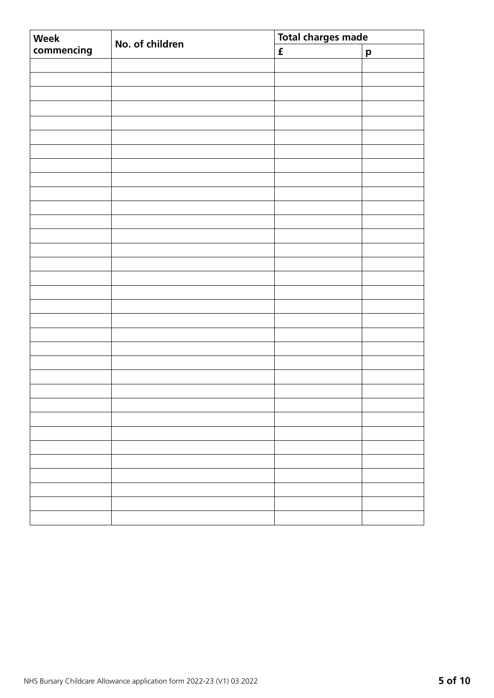| Week       | No. of children | <b>Total charges made</b> |              |  |  |
|------------|-----------------|---------------------------|--------------|--|--|
| commencing |                 | $\mathbf f$               | $\mathbf{p}$ |  |  |
|            |                 |                           |              |  |  |
|            |                 |                           |              |  |  |
|            |                 |                           |              |  |  |
|            |                 |                           |              |  |  |
|            |                 |                           |              |  |  |
|            |                 |                           |              |  |  |
|            |                 |                           |              |  |  |
|            |                 |                           |              |  |  |
|            |                 |                           |              |  |  |
|            |                 |                           |              |  |  |
|            |                 |                           |              |  |  |
|            |                 |                           |              |  |  |
|            |                 |                           |              |  |  |
|            |                 |                           |              |  |  |
|            |                 |                           |              |  |  |
|            |                 |                           |              |  |  |
|            |                 |                           |              |  |  |
|            |                 |                           |              |  |  |
|            |                 |                           |              |  |  |
|            |                 |                           |              |  |  |
|            |                 |                           |              |  |  |
|            |                 |                           |              |  |  |
|            |                 |                           |              |  |  |
|            |                 |                           |              |  |  |
|            |                 |                           |              |  |  |
|            |                 |                           |              |  |  |
|            |                 |                           |              |  |  |
|            |                 |                           |              |  |  |
|            |                 |                           |              |  |  |
|            |                 |                           |              |  |  |
|            |                 |                           |              |  |  |
|            |                 |                           |              |  |  |
|            |                 |                           |              |  |  |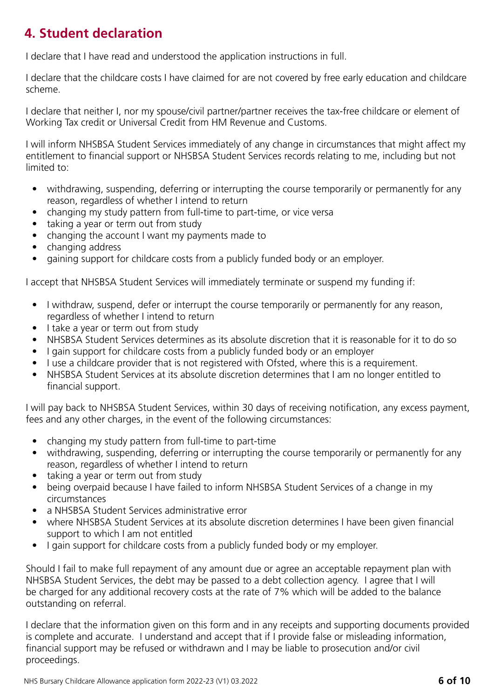# **4. Student declaration**

I declare that I have read and understood the application instructions in full.

I declare that the childcare costs I have claimed for are not covered by free early education and childcare scheme.

I declare that neither I, nor my spouse/civil partner/partner receives the tax-free childcare or element of Working Tax credit or Universal Credit from HM Revenue and Customs.

I will inform NHSBSA Student Services immediately of any change in circumstances that might affect my entitlement to financial support or NHSBSA Student Services records relating to me, including but not limited to:

- withdrawing, suspending, deferring or interrupting the course temporarily or permanently for any reason, regardless of whether I intend to return
- changing my study pattern from full-time to part-time, or vice versa
- taking a year or term out from study
- changing the account I want my payments made to
- changing address
- gaining support for childcare costs from a publicly funded body or an employer.

I accept that NHSBSA Student Services will immediately terminate or suspend my funding if:

- I withdraw, suspend, defer or interrupt the course temporarily or permanently for any reason, regardless of whether I intend to return
- I take a year or term out from study
- NHSBSA Student Services determines as its absolute discretion that it is reasonable for it to do so
- I gain support for childcare costs from a publicly funded body or an employer
- I use a childcare provider that is not registered with Ofsted, where this is a requirement.
- NHSBSA Student Services at its absolute discretion determines that I am no longer entitled to financial support.

I will pay back to NHSBSA Student Services, within 30 days of receiving notification, any excess payment, fees and any other charges, in the event of the following circumstances:

- changing my study pattern from full-time to part-time
- withdrawing, suspending, deferring or interrupting the course temporarily or permanently for any reason, regardless of whether I intend to return
- taking a year or term out from study
- being overpaid because I have failed to inform NHSBSA Student Services of a change in my circumstances
- a NHSBSA Student Services administrative error
- where NHSBSA Student Services at its absolute discretion determines I have been given financial support to which I am not entitled
- I gain support for childcare costs from a publicly funded body or my employer.

Should I fail to make full repayment of any amount due or agree an acceptable repayment plan with NHSBSA Student Services, the debt may be passed to a debt collection agency. I agree that I will be charged for any additional recovery costs at the rate of 7% which will be added to the balance outstanding on referral.

I declare that the information given on this form and in any receipts and supporting documents provided is complete and accurate. I understand and accept that if I provide false or misleading information, financial support may be refused or withdrawn and I may be liable to prosecution and/or civil proceedings.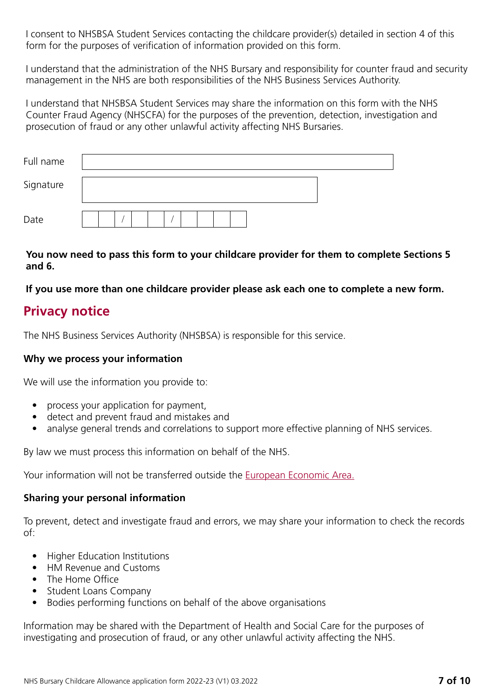I consent to NHSBSA Student Services contacting the childcare provider(s) detailed in section 4 of this form for the purposes of verification of information provided on this form.

I understand that the administration of the NHS Bursary and responsibility for counter fraud and security management in the NHS are both responsibilities of the NHS Business Services Authority.

I understand that NHSBSA Student Services may share the information on this form with the NHS Counter Fraud Agency (NHSCFA) for the purposes of the prevention, detection, investigation and prosecution of fraud or any other unlawful activity affecting NHS Bursaries.

| Full name |  |  |  |  |  |  |  |  |  |
|-----------|--|--|--|--|--|--|--|--|--|
| Signature |  |  |  |  |  |  |  |  |  |
| Date      |  |  |  |  |  |  |  |  |  |

### **You now need to pass this form to your childcare provider for them to complete Sections 5 and 6.**

**If you use more than one childcare provider please ask each one to complete a new form.**

### **Privacy notice**

The NHS Business Services Authority (NHSBSA) is responsible for this service.

### **Why we process your information**

We will use the information you provide to:

- process your application for payment,
- detect and prevent fraud and mistakes and
- analyse general trends and correlations to support more effective planning of NHS services.

By law we must process this information on behalf of the NHS.

Your information will not be transferred outside the **[European Economic Area.](https://www.gov.uk/eu-eea)** 

### **Sharing your personal information**

To prevent, detect and investigate fraud and errors, we may share your information to check the records of:

- Higher Education Institutions
- HM Revenue and Customs
- The Home Office
- Student Loans Company
- Bodies performing functions on behalf of the above organisations

Information may be shared with the Department of Health and Social Care for the purposes of investigating and prosecution of fraud, or any other unlawful activity affecting the NHS.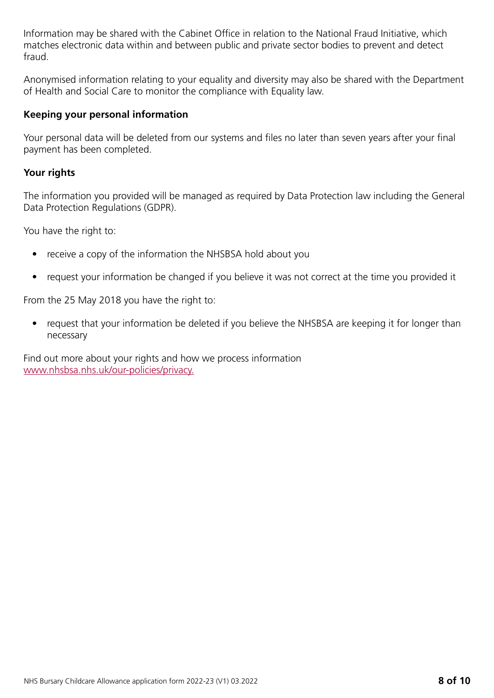Information may be shared with the Cabinet Office in relation to the National Fraud Initiative, which matches electronic data within and between public and private sector bodies to prevent and detect fraud.

Anonymised information relating to your equality and diversity may also be shared with the Department of Health and Social Care to monitor the compliance with Equality law.

### **Keeping your personal information**

Your personal data will be deleted from our systems and files no later than seven years after your final payment has been completed.

### **Your rights**

The information you provided will be managed as required by Data Protection law including the General Data Protection Regulations (GDPR).

You have the right to:

- receive a copy of the information the NHSBSA hold about you
- request your information be changed if you believe it was not correct at the time you provided it

From the 25 May 2018 you have the right to:

• request that your information be deleted if you believe the NHSBSA are keeping it for longer than necessary

Find out more about your rights and how we process information www.nhsbsa.nhs.uk/our-policies/privacy.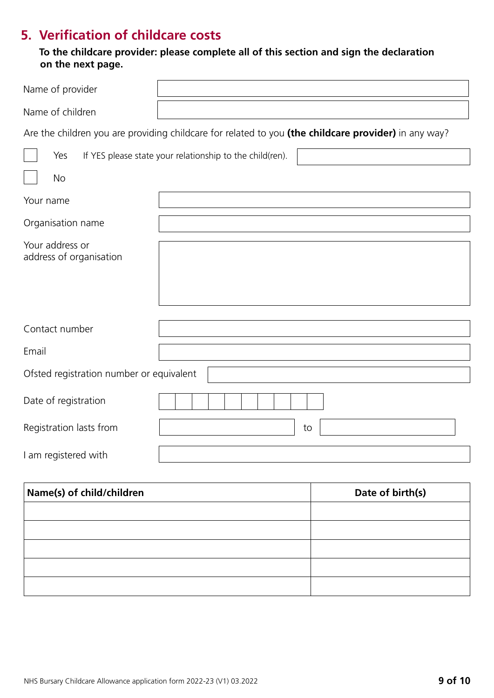## **5. Verification of childcare costs**

 **To the childcare provider: please complete all of this section and sign the declaration on the next page.**

| Name of provider                           |                                                          |                                                                                                      |
|--------------------------------------------|----------------------------------------------------------|------------------------------------------------------------------------------------------------------|
| Name of children                           |                                                          |                                                                                                      |
|                                            |                                                          | Are the children you are providing childcare for related to you (the childcare provider) in any way? |
| Yes                                        | If YES please state your relationship to the child(ren). |                                                                                                      |
| <b>No</b>                                  |                                                          |                                                                                                      |
| Your name                                  |                                                          |                                                                                                      |
| Organisation name                          |                                                          |                                                                                                      |
| Your address or<br>address of organisation |                                                          |                                                                                                      |
| Contact number                             |                                                          |                                                                                                      |
| Email                                      |                                                          |                                                                                                      |
| Ofsted registration number or equivalent   |                                                          |                                                                                                      |
| Date of registration                       |                                                          |                                                                                                      |
| Registration lasts from                    |                                                          | to                                                                                                   |
| I am registered with                       |                                                          |                                                                                                      |
| Name(s) of child/children                  |                                                          | Date of birth(s)                                                                                     |

| Name(s) of child/children | Date of birth(s) |
|---------------------------|------------------|
|                           |                  |
|                           |                  |
|                           |                  |
|                           |                  |
|                           |                  |